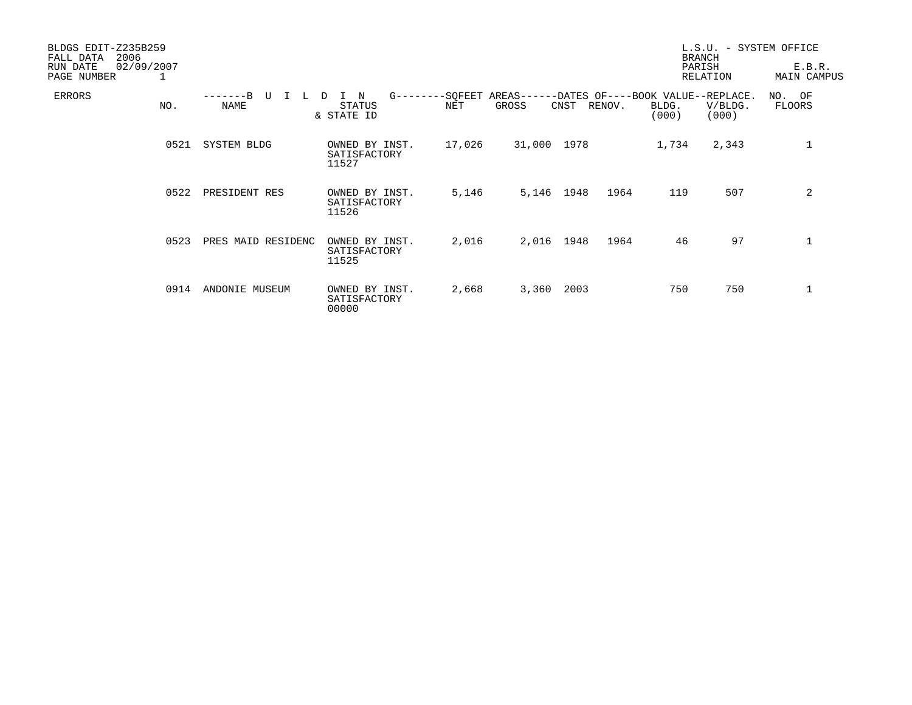| BLDGS EDIT-Z235B259<br>2006<br>FALL DATA<br>02/09/2007<br>RUN DATE |      |                            |                                                 |                |                   |      |        |                                                     | L.S.U. - SYSTEM OFFICE<br><b>BRANCH</b><br>PARISH | E.B.R.             |
|--------------------------------------------------------------------|------|----------------------------|-------------------------------------------------|----------------|-------------------|------|--------|-----------------------------------------------------|---------------------------------------------------|--------------------|
| PAGE NUMBER                                                        | 1    |                            |                                                 |                |                   |      |        | RELATION                                            |                                                   | <b>MAIN CAMPUS</b> |
| ERRORS                                                             | NO.  | $---B$<br>U<br><b>NAME</b> | $G - - - - -$<br>N<br>D<br>STATUS<br>& STATE ID | -SQFEET<br>NET | AREAS---<br>GROSS | CNST | RENOV. | -DATES OF----BOOK VALUE--REPLACE.<br>BLDG.<br>(000) | V/BLDG.<br>(000)                                  | NO. OF<br>FLOORS   |
|                                                                    | 0521 | <b>SYSTEM BLDG</b>         | OWNED BY INST.<br>SATISFACTORY<br>11527         | 17,026         | 31,000 1978       |      |        | 1,734                                               | 2,343                                             | 1                  |
|                                                                    | 0522 | PRESIDENT RES              | OWNED BY INST.<br>SATISFACTORY<br>11526         | 5,146          | 5,146 1948        |      | 1964   | 119                                                 | 507                                               | 2                  |
|                                                                    | 0523 | PRES MAID RESIDENC         | OWNED BY INST.<br>SATISFACTORY<br>11525         | 2,016          | 2,016 1948        |      | 1964   | 46                                                  | 97                                                | 1                  |
|                                                                    | 0914 | ANDONIE MUSEUM             | OWNED BY INST.<br>SATISFACTORY<br>00000         | 2,668          | 3,360             | 2003 |        | 750                                                 | 750                                               | 1                  |